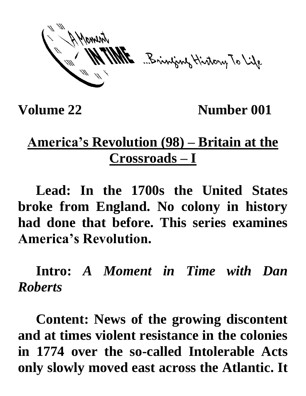ME Brinjang History To Life

**Volume 22 Number 001**

## **America's Revolution (98) – Britain at the Crossroads – I**

**Lead: In the 1700s the United States broke from England. No colony in history had done that before. This series examines America's Revolution.**

**Intro:** *A Moment in Time with Dan Roberts*

**Content: News of the growing discontent and at times violent resistance in the colonies in 1774 over the so-called Intolerable Acts only slowly moved east across the Atlantic. It**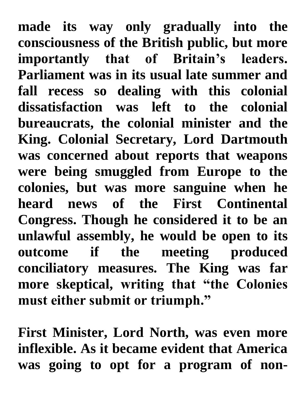**made its way only gradually into the consciousness of the British public, but more importantly that of Britain's leaders. Parliament was in its usual late summer and fall recess so dealing with this colonial dissatisfaction was left to the colonial bureaucrats, the colonial minister and the King. Colonial Secretary, Lord Dartmouth was concerned about reports that weapons were being smuggled from Europe to the colonies, but was more sanguine when he heard news of the First Continental Congress. Though he considered it to be an unlawful assembly, he would be open to its outcome if the meeting produced conciliatory measures. The King was far more skeptical, writing that "the Colonies must either submit or triumph."** 

**First Minister, Lord North, was even more inflexible. As it became evident that America was going to opt for a program of non-**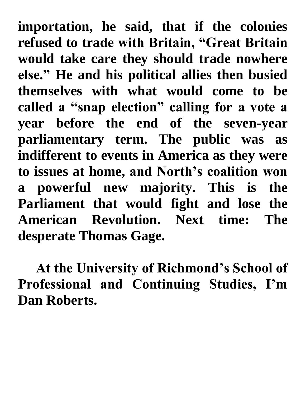**importation, he said, that if the colonies refused to trade with Britain, "Great Britain would take care they should trade nowhere else." He and his political allies then busied themselves with what would come to be called a "snap election" calling for a vote a year before the end of the seven-year parliamentary term. The public was as indifferent to events in America as they were to issues at home, and North's coalition won a powerful new majority. This is the Parliament that would fight and lose the American Revolution. Next time: The desperate Thomas Gage.**

**At the University of Richmond's School of Professional and Continuing Studies, I'm Dan Roberts.**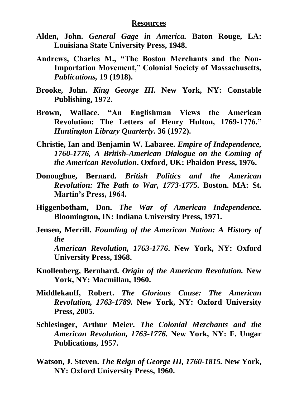## **Resources**

- **Alden, John.** *General Gage in America.* **Baton Rouge, LA: Louisiana State University Press, 1948.**
- **Andrews, Charles M., "The Boston Merchants and the Non-Importation Movement," Colonial Society of Massachusetts,**  *Publications,* **19 (1918).**
- **Brooke, John.** *King George III.* **New York, NY: Constable Publishing, 1972.**
- **Brown, Wallace. "An Englishman Views the American Revolution: The Letters of Henry Hulton, 1769-1776."**  *Huntington Library Quarterly.* **36 (1972).**
- **Christie, Ian and Benjamin W. Labaree.** *Empire of Independence, 1760-1776, A British-American Dialogue on the Coming of the American Revolution***. Oxford, UK: Phaidon Press, 1976.**
- **Donoughue, Bernard.** *British Politics and the American Revolution: The Path to War, 1773-1775.* **Boston. MA: St. Martin's Press, 1964.**
- **Higgenbotham, Don.** *The War of American Independence.*  **Bloomington, IN: Indiana University Press, 1971.**
- **Jensen, Merrill.** *Founding of the American Nation: A History of the American Revolution, 1763-1776***. New York, NY: Oxford University Press, 1968.**
- **Knollenberg, Bernhard.** *Origin of the American Revolution.* **New York, NY: Macmillan, 1960.**
- **Middlekauff, Robert.** *The Glorious Cause: The American Revolution, 1763-1789.* **New York, NY: Oxford University Press, 2005.**
- **Schlesinger, Arthur Meier.** *The Colonial Merchants and the American Revolution, 1763-1776.* **New York, NY: F. Ungar Publications, 1957.**
- **Watson, J. Steven.** *The Reign of George III, 1760-1815.* **New York, NY: Oxford University Press, 1960.**